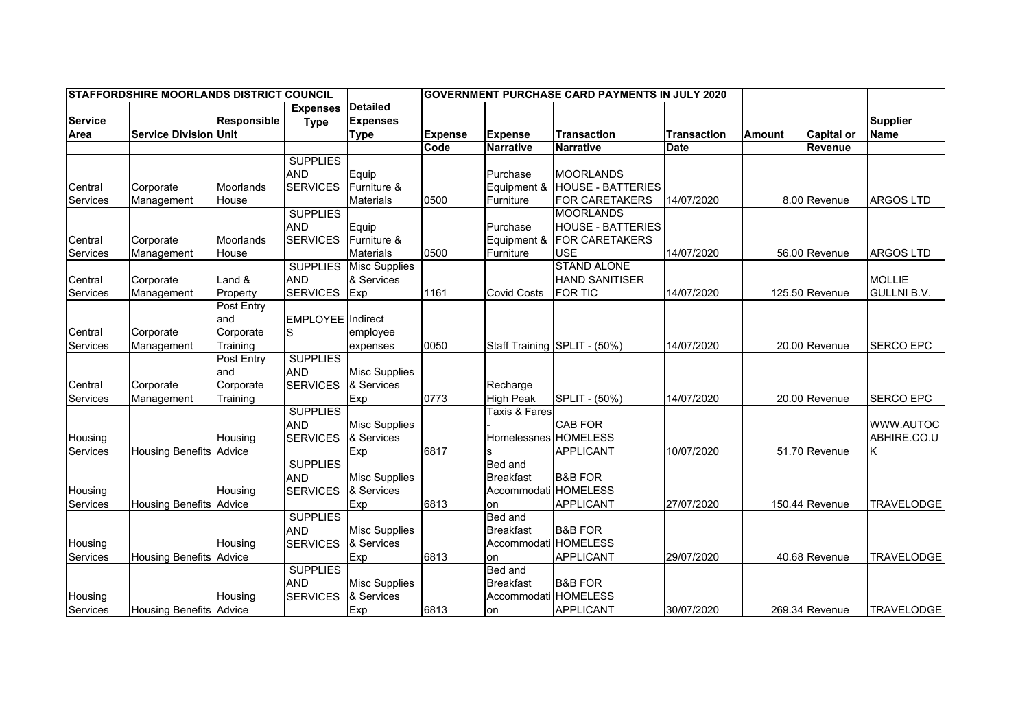| STAFFORDSHIRE MOORLANDS DISTRICT COUNCIL |                                |                    |                          |                      | <b>GOVERNMENT PURCHASE CARD PAYMENTS IN JULY 2020</b> |                      |                              |                    |               |                   |                    |
|------------------------------------------|--------------------------------|--------------------|--------------------------|----------------------|-------------------------------------------------------|----------------------|------------------------------|--------------------|---------------|-------------------|--------------------|
|                                          |                                |                    | <b>Expenses</b>          | Detailed             |                                                       |                      |                              |                    |               |                   |                    |
| <b>Service</b>                           |                                | <b>Responsible</b> | <b>Type</b>              | <b>Expenses</b>      |                                                       |                      |                              |                    |               |                   | <b>Supplier</b>    |
| Area                                     | <b>Service Division Unit</b>   |                    |                          | <b>Type</b>          | <b>Expense</b>                                        | <b>Expense</b>       | <b>Transaction</b>           | <b>Transaction</b> | <b>Amount</b> | <b>Capital or</b> | <b>Name</b>        |
|                                          |                                |                    |                          |                      | Code                                                  | <b>Narrative</b>     | <b>Narrative</b>             | <b>Date</b>        |               | Revenue           |                    |
|                                          |                                |                    | <b>SUPPLIES</b>          |                      |                                                       |                      |                              |                    |               |                   |                    |
|                                          |                                |                    | <b>AND</b>               | Equip                |                                                       | Purchase             | <b>MOORLANDS</b>             |                    |               |                   |                    |
| Central                                  | Corporate                      | Moorlands          | <b>SERVICES</b>          | Furniture &          |                                                       | Equipment &          | <b>HOUSE - BATTERIES</b>     |                    |               |                   |                    |
| Services                                 | Management                     | House              |                          | <b>Materials</b>     | 0500                                                  | Furniture            | FOR CARETAKERS               | 14/07/2020         |               | 8.00 Revenue      | <b>ARGOS LTD</b>   |
|                                          |                                |                    | <b>SUPPLIES</b>          |                      |                                                       |                      | <b>MOORLANDS</b>             |                    |               |                   |                    |
|                                          |                                |                    | <b>AND</b>               | Equip                |                                                       | Purchase             | <b>HOUSE - BATTERIES</b>     |                    |               |                   |                    |
| Central                                  | Corporate                      | Moorlands          | <b>SERVICES</b>          | Furniture &          |                                                       | Equipment &          | <b>FOR CARETAKERS</b>        |                    |               |                   |                    |
| Services                                 | Management                     | House              |                          | <b>Materials</b>     | 0500                                                  | Furniture            | <b>USE</b>                   | 14/07/2020         |               | 56.00 Revenue     | <b>ARGOS LTD</b>   |
|                                          |                                |                    | <b>SUPPLIES</b>          | <b>Misc Supplies</b> |                                                       |                      | <b>STAND ALONE</b>           |                    |               |                   |                    |
| Central                                  | Corporate                      | Land &             | <b>AND</b>               | & Services           |                                                       |                      | <b>HAND SANITISER</b>        |                    |               |                   | <b>MOLLIE</b>      |
| Services                                 | Management                     | Property           | <b>SERVICES</b>          | <b>Exp</b>           | 1161                                                  | <b>Covid Costs</b>   | <b>FOR TIC</b>               | 14/07/2020         |               | 125.50 Revenue    | <b>GULLNI B.V.</b> |
|                                          |                                | Post Entry         |                          |                      |                                                       |                      |                              |                    |               |                   |                    |
|                                          |                                | and                | <b>EMPLOYEE</b> Indirect |                      |                                                       |                      |                              |                    |               |                   |                    |
| Central                                  | Corporate                      | Corporate          | lS.                      | employee             |                                                       |                      |                              |                    |               |                   |                    |
| Services                                 | Management                     | Training           |                          | expenses             | 0050                                                  |                      | Staff Training SPLIT - (50%) | 14/07/2020         |               | 20.00 Revenue     | <b>SERCO EPC</b>   |
|                                          |                                | Post Entry         | <b>SUPPLIES</b>          |                      |                                                       |                      |                              |                    |               |                   |                    |
|                                          |                                | and                | <b>AND</b>               | <b>Misc Supplies</b> |                                                       |                      |                              |                    |               |                   |                    |
| Central                                  | Corporate                      | Corporate          | <b>SERVICES</b>          | & Services           |                                                       | Recharge             |                              |                    |               |                   |                    |
| Services                                 | Management                     | Training           |                          | Exp                  | 0773                                                  | <b>High Peak</b>     | SPLIT - (50%)                | 14/07/2020         |               | 20.00 Revenue     | <b>SERCO EPC</b>   |
|                                          |                                |                    | <b>SUPPLIES</b>          |                      |                                                       | Taxis & Fares        |                              |                    |               |                   |                    |
|                                          |                                |                    | <b>AND</b>               | <b>Misc Supplies</b> |                                                       |                      | <b>CAB FOR</b>               |                    |               |                   | WWW.AUTOC          |
| Housing                                  |                                | Housing            | <b>SERVICES</b>          | & Services           |                                                       | Homelessnes HOMELESS |                              |                    |               |                   | ABHIRE.CO.U        |
| Services                                 | <b>Housing Benefits Advice</b> |                    |                          | Exp                  | 6817                                                  |                      | <b>APPLICANT</b>             | 10/07/2020         |               | 51.70 Revenue     | K                  |
|                                          |                                |                    | <b>SUPPLIES</b>          |                      |                                                       | Bed and              |                              |                    |               |                   |                    |
|                                          |                                |                    | <b>AND</b>               | <b>Misc Supplies</b> |                                                       | <b>Breakfast</b>     | <b>B&amp;B FOR</b>           |                    |               |                   |                    |
| Housing                                  |                                | Housing            | <b>SERVICES</b>          | & Services           |                                                       | Accommodati HOMELESS |                              |                    |               |                   |                    |
| Services                                 | <b>Housing Benefits Advice</b> |                    |                          | Exp                  | 6813                                                  | on                   | <b>APPLICANT</b>             | 27/07/2020         |               | 150.44 Revenue    | <b>TRAVELODGE</b>  |
|                                          |                                |                    | <b>SUPPLIES</b>          |                      |                                                       | Bed and              |                              |                    |               |                   |                    |
|                                          |                                |                    | <b>AND</b>               | <b>Misc Supplies</b> |                                                       | <b>Breakfast</b>     | <b>B&amp;B FOR</b>           |                    |               |                   |                    |
| Housing                                  |                                | Housing            | <b>SERVICES</b>          | & Services           |                                                       | Accommodati HOMELESS |                              |                    |               |                   |                    |
| <b>Services</b>                          | <b>Housing Benefits Advice</b> |                    |                          | Exp                  | 6813                                                  | on                   | <b>APPLICANT</b>             | 29/07/2020         |               | 40.68 Revenue     | <b>TRAVELODGE</b>  |
|                                          |                                |                    | <b>SUPPLIES</b>          |                      |                                                       | Bed and              |                              |                    |               |                   |                    |
|                                          |                                |                    | <b>AND</b>               | <b>Misc Supplies</b> |                                                       | <b>Breakfast</b>     | <b>B&amp;B FOR</b>           |                    |               |                   |                    |
| Housing                                  |                                | Housing            | <b>SERVICES</b>          | & Services           |                                                       | Accommodati HOMELESS |                              |                    |               |                   |                    |
| Services                                 | <b>Housing Benefits Advice</b> |                    |                          | Exp                  | 6813                                                  | on                   | <b>APPLICANT</b>             | 30/07/2020         |               | 269.34 Revenue    | <b>TRAVELODGE</b>  |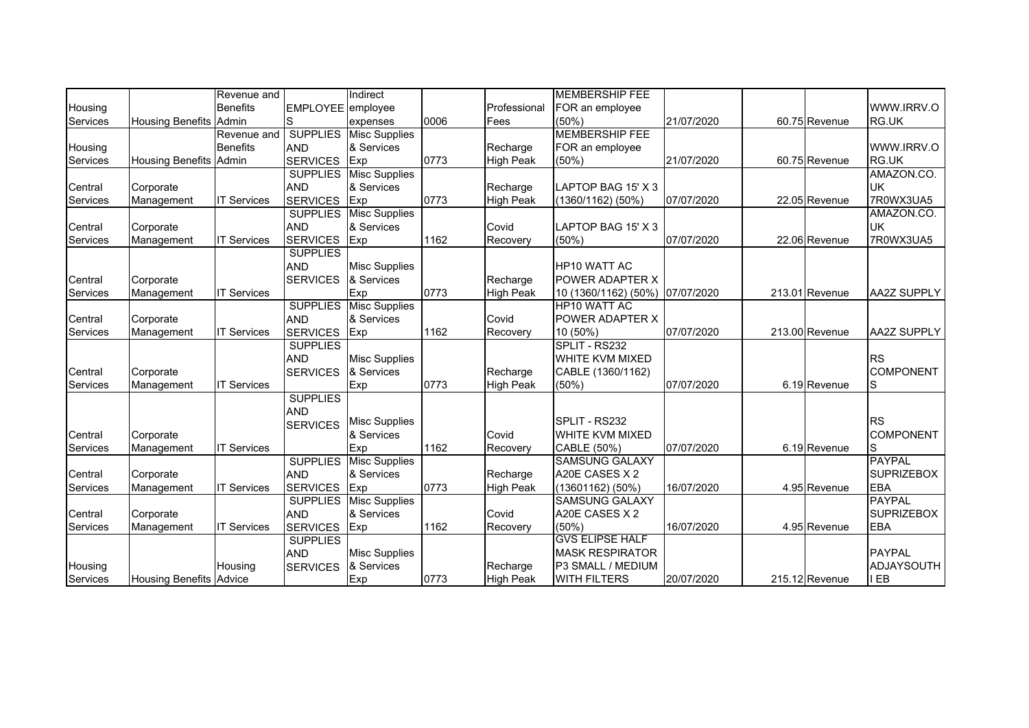|                 |                                | Revenue and        |                   | Indirect             |      |                  | <b>MEMBERSHIP FEE</b>           |            |                |                    |
|-----------------|--------------------------------|--------------------|-------------------|----------------------|------|------------------|---------------------------------|------------|----------------|--------------------|
| Housing         |                                | <b>Benefits</b>    | EMPLOYEE employee |                      |      | Professional     | FOR an employee                 |            |                | WWW.IRRV.O         |
| Services        | Housing Benefits Admin         |                    | S                 | expenses             | 0006 | Fees             | (50%)                           | 21/07/2020 | 60.75 Revenue  | RG.UK              |
|                 |                                | Revenue and        | <b>SUPPLIES</b>   | Misc Supplies        |      |                  | <b>MEMBERSHIP FEE</b>           |            |                |                    |
| Housing         |                                | <b>Benefits</b>    | <b>AND</b>        | & Services           |      | Recharge         | FOR an employee                 |            |                | WWW.IRRV.O         |
| Services        | Housing Benefits Admin         |                    | <b>SERVICES</b>   | Exp                  | 0773 | <b>High Peak</b> | (50%)                           | 21/07/2020 | 60.75 Revenue  | RG.UK              |
|                 |                                |                    | <b>SUPPLIES</b>   | <b>Misc Supplies</b> |      |                  |                                 |            |                | AMAZON.CO.         |
| Central         | Corporate                      |                    | <b>AND</b>        | & Services           |      | Recharge         | LAPTOP BAG 15' X 3              |            |                | <b>UK</b>          |
| Services        | Management                     | <b>IT Services</b> | <b>SERVICES</b>   | Exp                  | 0773 | <b>High Peak</b> | $(1360/1162)$ (50%)             | 07/07/2020 | 22.05 Revenue  | 7R0WX3UA5          |
|                 |                                |                    | <b>SUPPLIES</b>   | <b>Misc Supplies</b> |      |                  |                                 |            |                | AMAZON.CO.         |
| Central         | Corporate                      |                    | <b>AND</b>        | & Services           |      | Covid            | LAPTOP BAG 15' X 3              |            |                | <b>UK</b>          |
| Services        | Management                     | <b>IT Services</b> | <b>SERVICES</b>   | Exp                  | 1162 | Recovery         | $(50\%)$                        | 07/07/2020 | 22.06 Revenue  | 7R0WX3UA5          |
|                 |                                |                    | <b>SUPPLIES</b>   |                      |      |                  |                                 |            |                |                    |
|                 |                                |                    | <b>AND</b>        | <b>Misc Supplies</b> |      |                  | <b>HP10 WATT AC</b>             |            |                |                    |
| Central         | Corporate                      |                    | <b>SERVICES</b>   | & Services           |      | Recharge         | POWER ADAPTER X                 |            |                |                    |
| Services        | Management                     | <b>IT Services</b> |                   | Exp                  | 0773 | <b>High Peak</b> | 10 (1360/1162) (50%) 07/07/2020 |            | 213.01 Revenue | <b>AA2Z SUPPLY</b> |
|                 |                                |                    | <b>SUPPLIES</b>   | <b>Misc Supplies</b> |      |                  | <b>HP10 WATT AC</b>             |            |                |                    |
| Central         | Corporate                      |                    | <b>AND</b>        | & Services           |      | Covid            | POWER ADAPTER X                 |            |                |                    |
| Services        | Management                     | <b>IT Services</b> | <b>SERVICES</b>   | Exp                  | 1162 | Recovery         | 10 (50%)                        | 07/07/2020 | 213.00 Revenue | <b>AA2Z SUPPLY</b> |
|                 |                                |                    | <b>SUPPLIES</b>   |                      |      |                  | SPLIT - RS232                   |            |                |                    |
|                 |                                |                    | <b>AND</b>        | <b>Misc Supplies</b> |      |                  | <b>WHITE KVM MIXED</b>          |            |                | <b>RS</b>          |
| Central         | Corporate                      |                    | <b>SERVICES</b>   | & Services           |      | Recharge         | CABLE (1360/1162)               |            |                | <b>COMPONENT</b>   |
| Services        | Management                     | <b>IT Services</b> |                   | Exp                  | 0773 | <b>High Peak</b> | (50%                            | 07/07/2020 | 6.19 Revenue   | lS                 |
|                 |                                |                    | <b>SUPPLIES</b>   |                      |      |                  |                                 |            |                |                    |
|                 |                                |                    | <b>AND</b>        |                      |      |                  |                                 |            |                |                    |
|                 |                                |                    | <b>SERVICES</b>   | <b>Misc Supplies</b> |      |                  | SPLIT - RS232                   |            |                | <b>RS</b>          |
| Central         | Corporate                      |                    |                   | & Services           |      | Covid            | <b>WHITE KVM MIXED</b>          |            |                | <b>COMPONENT</b>   |
| Services        | Management                     | <b>IT Services</b> |                   | Exp                  | 1162 | Recovery         | CABLE (50%)                     | 07/07/2020 | 6.19 Revenue   | S                  |
|                 |                                |                    | <b>SUPPLIES</b>   | <b>Misc Supplies</b> |      |                  | <b>SAMSUNG GALAXY</b>           |            |                | <b>PAYPAL</b>      |
| Central         | Corporate                      |                    | <b>AND</b>        | & Services           |      | Recharge         | A20E CASES X 2                  |            |                | <b>SUPRIZEBOX</b>  |
| Services        | Management                     | <b>IT Services</b> | <b>SERVICES</b>   | Exp                  | 0773 | <b>High Peak</b> | $(13601162)$ (50%)              | 16/07/2020 | 4.95 Revenue   | <b>EBA</b>         |
|                 |                                |                    | <b>SUPPLIES</b>   | <b>Misc Supplies</b> |      |                  | <b>SAMSUNG GALAXY</b>           |            |                | <b>PAYPAL</b>      |
| Central         | Corporate                      |                    | <b>AND</b>        | & Services           |      | Covid            | A20E CASES X 2                  |            |                | <b>SUPRIZEBOX</b>  |
| Services        | Management                     | <b>IT Services</b> | <b>SERVICES</b>   | <b>Exp</b>           | 1162 | Recovery         | (50%                            | 16/07/2020 | 4.95 Revenue   | <b>EBA</b>         |
|                 |                                |                    | <b>SUPPLIES</b>   |                      |      |                  | <b>GVS ELIPSE HALF</b>          |            |                |                    |
|                 |                                |                    | <b>AND</b>        | <b>Misc Supplies</b> |      |                  | <b>MASK RESPIRATOR</b>          |            |                | <b>PAYPAL</b>      |
| Housing         |                                | Housing            | <b>SERVICES</b>   | & Services           |      | Recharge         | P3 SMALL / MEDIUM               |            |                | <b>ADJAYSOUTH</b>  |
| <b>Services</b> | <b>Housing Benefits Advice</b> |                    |                   | Exp                  | 0773 | <b>High Peak</b> | <b>WITH FILTERS</b>             | 20/07/2020 | 215.12 Revenue | l EB               |